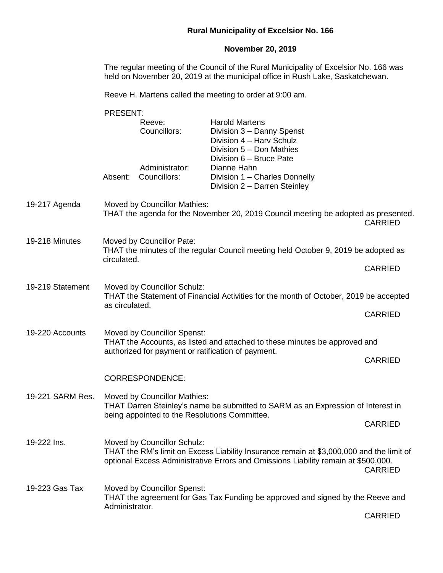## **Rural Municipality of Excelsior No. 166**

## **November 20, 2019**

The regular meeting of the Council of the Rural Municipality of Excelsior No. 166 was held on November 20, 2019 at the municipal office in Rush Lake, Saskatchewan.

Reeve H. Martens called the meeting to order at 9:00 am.

|                  | <b>PRESENT:</b>                                                                                                                                                        |                                                                                                                                      |                                                                                                                                                                                |                |  |
|------------------|------------------------------------------------------------------------------------------------------------------------------------------------------------------------|--------------------------------------------------------------------------------------------------------------------------------------|--------------------------------------------------------------------------------------------------------------------------------------------------------------------------------|----------------|--|
|                  | <b>Harold Martens</b><br>Reeve:<br>Councillors:<br>Division 3 - Danny Spenst<br>Division 4 - Harv Schulz<br>Division 5 - Don Mathies<br>Division 6 - Bruce Pate        |                                                                                                                                      |                                                                                                                                                                                |                |  |
|                  | Absent:                                                                                                                                                                | Administrator:<br>Councillors:                                                                                                       | Dianne Hahn<br>Division 1 - Charles Donnelly<br>Division 2 - Darren Steinley                                                                                                   |                |  |
| 19-217 Agenda    |                                                                                                                                                                        | Moved by Councillor Mathies:<br>THAT the agenda for the November 20, 2019 Council meeting be adopted as presented.<br><b>CARRIED</b> |                                                                                                                                                                                |                |  |
| 19-218 Minutes   | Moved by Councillor Pate:<br>THAT the minutes of the regular Council meeting held October 9, 2019 be adopted as<br>circulated.                                         |                                                                                                                                      |                                                                                                                                                                                |                |  |
|                  |                                                                                                                                                                        | <b>CARRIED</b>                                                                                                                       |                                                                                                                                                                                |                |  |
| 19-219 Statement | Moved by Councillor Schulz:<br>THAT the Statement of Financial Activities for the month of October, 2019 be accepted<br>as circulated.                                 |                                                                                                                                      |                                                                                                                                                                                |                |  |
|                  | <b>CARRIED</b>                                                                                                                                                         |                                                                                                                                      |                                                                                                                                                                                |                |  |
| 19-220 Accounts  | <b>Moved by Councillor Spenst:</b><br>THAT the Accounts, as listed and attached to these minutes be approved and<br>authorized for payment or ratification of payment. |                                                                                                                                      |                                                                                                                                                                                |                |  |
|                  |                                                                                                                                                                        | <b>CARRIED</b>                                                                                                                       |                                                                                                                                                                                |                |  |
|                  |                                                                                                                                                                        | <b>CORRESPONDENCE:</b>                                                                                                               |                                                                                                                                                                                |                |  |
| 19-221 SARM Res. | Moved by Councillor Mathies:<br>being appointed to the Resolutions Committee.                                                                                          | THAT Darren Steinley's name be submitted to SARM as an Expression of Interest in                                                     |                                                                                                                                                                                |                |  |
|                  |                                                                                                                                                                        | <b>CARRIED</b>                                                                                                                       |                                                                                                                                                                                |                |  |
| 19-222 Ins.      |                                                                                                                                                                        | Moved by Councillor Schulz:                                                                                                          | THAT the RM's limit on Excess Liability Insurance remain at \$3,000,000 and the limit of<br>optional Excess Administrative Errors and Omissions Liability remain at \$500,000. | <b>CARRIED</b> |  |
| 19-223 Gas Tax   | Moved by Councillor Spenst:<br>Administrator.                                                                                                                          | THAT the agreement for Gas Tax Funding be approved and signed by the Reeve and                                                       |                                                                                                                                                                                |                |  |
|                  |                                                                                                                                                                        | <b>CARRIED</b>                                                                                                                       |                                                                                                                                                                                |                |  |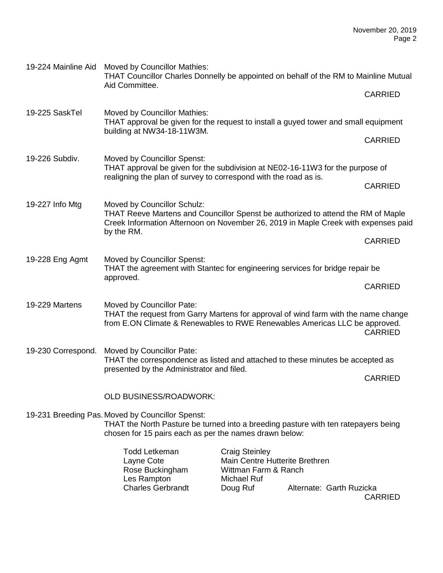| 19-224 Mainline Aid | Moved by Councillor Mathies:<br>THAT Councillor Charles Donnelly be appointed on behalf of the RM to Mainline Mutual                                                                                  |                                                                                                            |                          |                |  |
|---------------------|-------------------------------------------------------------------------------------------------------------------------------------------------------------------------------------------------------|------------------------------------------------------------------------------------------------------------|--------------------------|----------------|--|
|                     | Aid Committee.                                                                                                                                                                                        |                                                                                                            |                          | <b>CARRIED</b> |  |
| 19-225 SaskTel      | <b>Moved by Councillor Mathies:</b><br>THAT approval be given for the request to install a guyed tower and small equipment                                                                            |                                                                                                            |                          |                |  |
|                     | building at NW34-18-11W3M.                                                                                                                                                                            | <b>CARRIED</b>                                                                                             |                          |                |  |
| 19-226 Subdiv.      | Moved by Councillor Spenst:<br>THAT approval be given for the subdivision at NE02-16-11W3 for the purpose of                                                                                          |                                                                                                            |                          |                |  |
|                     | realigning the plan of survey to correspond with the road as is.                                                                                                                                      | <b>CARRIED</b>                                                                                             |                          |                |  |
| 19-227 Info Mtg     | Moved by Councillor Schulz:<br>THAT Reeve Martens and Councillor Spenst be authorized to attend the RM of Maple<br>Creek Information Afternoon on November 26, 2019 in Maple Creek with expenses paid |                                                                                                            |                          |                |  |
|                     | by the RM.                                                                                                                                                                                            |                                                                                                            | <b>CARRIED</b>           |                |  |
| 19-228 Eng Agmt     | Moved by Councillor Spenst:<br>THAT the agreement with Stantec for engineering services for bridge repair be<br>approved.                                                                             |                                                                                                            |                          |                |  |
|                     |                                                                                                                                                                                                       | <b>CARRIED</b>                                                                                             |                          |                |  |
| 19-229 Martens      | Moved by Councillor Pate:<br>THAT the request from Garry Martens for approval of wind farm with the name change<br>from E.ON Climate & Renewables to RWE Renewables Americas LLC be approved.         |                                                                                                            |                          | <b>CARRIED</b> |  |
| 19-230 Correspond.  | Moved by Councillor Pate:<br>THAT the correspondence as listed and attached to these minutes be accepted as<br>presented by the Administrator and filed.                                              |                                                                                                            |                          |                |  |
|                     |                                                                                                                                                                                                       | <b>CARRIED</b>                                                                                             |                          |                |  |
|                     | <b>OLD BUSINESS/ROADWORK:</b>                                                                                                                                                                         |                                                                                                            |                          |                |  |
|                     | 19-231 Breeding Pas. Moved by Councillor Spenst:<br>THAT the North Pasture be turned into a breeding pasture with ten ratepayers being<br>chosen for 15 pairs each as per the names drawn below:      |                                                                                                            |                          |                |  |
|                     | <b>Todd Letkeman</b><br>Layne Cote<br>Rose Buckingham<br>Les Rampton<br><b>Charles Gerbrandt</b>                                                                                                      | <b>Craig Steinley</b><br>Main Centre Hutterite Brethren<br>Wittman Farm & Ranch<br>Michael Ruf<br>Doug Ruf | Alternate: Garth Ruzicka |                |  |

CARRIED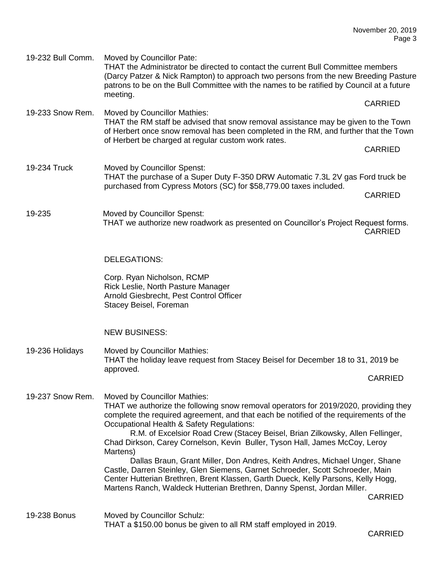19-232 Bull Comm. Moved by Councillor Pate: THAT the Administrator be directed to contact the current Bull Committee members (Darcy Patzer & Nick Rampton) to approach two persons from the new Breeding Pasture patrons to be on the Bull Committee with the names to be ratified by Council at a future meeting. CARRIED 19-233 Snow Rem. Moved by Councillor Mathies: THAT the RM staff be advised that snow removal assistance may be given to the Town of Herbert once snow removal has been completed in the RM, and further that the Town of Herbert be charged at regular custom work rates. CARRIED 19-234 Truck Moved by Councillor Spenst: THAT the purchase of a Super Duty F-350 DRW Automatic 7.3L 2V gas Ford truck be purchased from Cypress Motors (SC) for \$58,779.00 taxes included. CARRIED 19-235 Moved by Councillor Spenst: THAT we authorize new roadwork as presented on Councillor's Project Request forms. CARRIED

DELEGATIONS:

Corp. Ryan Nicholson, RCMP Rick Leslie, North Pasture Manager Arnold Giesbrecht, Pest Control Officer Stacey Beisel, Foreman

NEW BUSINESS:

19-236 Holidays Moved by Councillor Mathies: THAT the holiday leave request from Stacey Beisel for December 18 to 31, 2019 be approved.

CARRIED

19-237 Snow Rem. Moved by Councillor Mathies:

THAT we authorize the following snow removal operators for 2019/2020, providing they complete the required agreement, and that each be notified of the requirements of the Occupational Health & Safety Regulations:

R.M. of Excelsior Road Crew (Stacey Beisel, Brian Zilkowsky, Allen Fellinger, Chad Dirkson, Carey Cornelson, Kevin Buller, Tyson Hall, James McCoy, Leroy Martens)

Dallas Braun, Grant Miller, Don Andres, Keith Andres, Michael Unger, Shane Castle, Darren Steinley, Glen Siemens, Garnet Schroeder, Scott Schroeder, Main Center Hutterian Brethren, Brent Klassen, Garth Dueck, Kelly Parsons, Kelly Hogg, Martens Ranch, Waldeck Hutterian Brethren, Danny Spenst, Jordan Miller.

CARRIED

19-238 Bonus Moved by Councillor Schulz: THAT a \$150.00 bonus be given to all RM staff employed in 2019.

CARRIED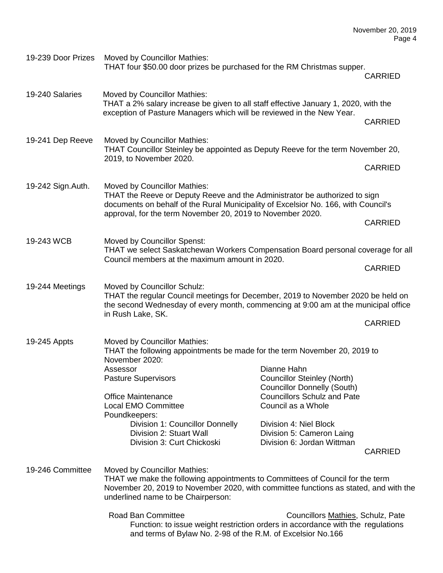| 19-239 Door Prizes | Moved by Councillor Mathies:<br>THAT four \$50.00 door prizes be purchased for the RM Christmas supper.                                                                                                                                                        |                                                                                         | <b>CARRIED</b> |  |  |
|--------------------|----------------------------------------------------------------------------------------------------------------------------------------------------------------------------------------------------------------------------------------------------------------|-----------------------------------------------------------------------------------------|----------------|--|--|
| 19-240 Salaries    | Moved by Councillor Mathies:                                                                                                                                                                                                                                   |                                                                                         |                |  |  |
|                    | THAT a 2% salary increase be given to all staff effective January 1, 2020, with the<br>exception of Pasture Managers which will be reviewed in the New Year.                                                                                                   |                                                                                         |                |  |  |
|                    |                                                                                                                                                                                                                                                                |                                                                                         | <b>CARRIED</b> |  |  |
| 19-241 Dep Reeve   | Moved by Councillor Mathies:<br>THAT Councillor Steinley be appointed as Deputy Reeve for the term November 20,<br>2019, to November 2020.                                                                                                                     |                                                                                         |                |  |  |
|                    |                                                                                                                                                                                                                                                                |                                                                                         | <b>CARRIED</b> |  |  |
| 19-242 Sign. Auth. | Moved by Councillor Mathies:<br>THAT the Reeve or Deputy Reeve and the Administrator be authorized to sign<br>documents on behalf of the Rural Municipality of Excelsior No. 166, with Council's<br>approval, for the term November 20, 2019 to November 2020. |                                                                                         |                |  |  |
|                    |                                                                                                                                                                                                                                                                |                                                                                         | <b>CARRIED</b> |  |  |
| 19-243 WCB         | THAT we select Saskatchewan Workers Compensation Board personal coverage for all                                                                                                                                                                               |                                                                                         |                |  |  |
|                    | Council members at the maximum amount in 2020.                                                                                                                                                                                                                 |                                                                                         | <b>CARRIED</b> |  |  |
| 19-244 Meetings    | Moved by Councillor Schulz:<br>THAT the regular Council meetings for December, 2019 to November 2020 be held on<br>the second Wednesday of every month, commencing at 9:00 am at the municipal office                                                          |                                                                                         |                |  |  |
|                    | in Rush Lake, SK.                                                                                                                                                                                                                                              |                                                                                         | <b>CARRIED</b> |  |  |
| 19-245 Appts       | Moved by Councillor Mathies:<br>THAT the following appointments be made for the term November 20, 2019 to<br>November 2020:                                                                                                                                    |                                                                                         |                |  |  |
|                    | Assessor<br><b>Pasture Supervisors</b>                                                                                                                                                                                                                         | Dianne Hahn<br><b>Councillor Steinley (North)</b><br><b>Councillor Donnelly (South)</b> |                |  |  |
|                    | <b>Office Maintenance</b><br><b>Local EMO Committee</b><br>Poundkeepers:                                                                                                                                                                                       | <b>Councillors Schulz and Pate</b><br>Council as a Whole                                |                |  |  |
|                    | Division 1: Councillor Donnelly<br>Division 2: Stuart Wall<br>Division 3: Curt Chickoski                                                                                                                                                                       | Division 4: Niel Block<br>Division 5: Cameron Laing<br>Division 6: Jordan Wittman       | <b>CARRIED</b> |  |  |
| 19-246 Committee   | <b>Moved by Councillor Mathies:</b><br>THAT we make the following appointments to Committees of Council for the term<br>November 20, 2019 to November 2020, with committee functions as stated, and with the<br>underlined name to be Chairperson:             |                                                                                         |                |  |  |
|                    | Road Ban Committee<br>Function: to issue weight restriction orders in accordance with the regulations<br>and terms of Bylaw No. 2-98 of the R.M. of Excelsior No.166                                                                                           | Councillors Mathies, Schulz, Pate                                                       |                |  |  |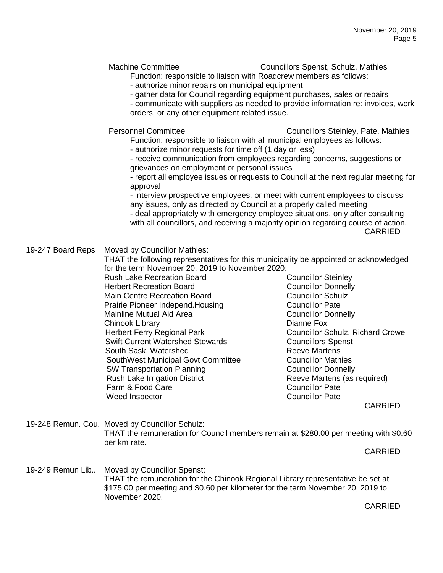Machine Committee **Councillors** Spenst, Schulz, Mathies

Function: responsible to liaison with Roadcrew members as follows:

- authorize minor repairs on municipal equipment

- gather data for Council regarding equipment purchases, sales or repairs

- communicate with suppliers as needed to provide information re: invoices, work orders, or any other equipment related issue.

Personnel Committee Councillors Steinley, Pate, Mathies

Function: responsible to liaison with all municipal employees as follows:

- authorize minor requests for time off (1 day or less)

- receive communication from employees regarding concerns, suggestions or grievances on employment or personal issues

- report all employee issues or requests to Council at the next regular meeting for approval

- interview prospective employees, or meet with current employees to discuss any issues, only as directed by Council at a properly called meeting - deal appropriately with emergency employee situations, only after consulting with all councillors, and receiving a majority opinion regarding course of action. CARRIED

## 19-247 Board Reps Moved by Councillor Mathies:

THAT the following representatives for this municipality be appointed or acknowledged for the term November 20, 2019 to November 2020:

Rush Lake Recreation Board Councillor Steinley Herbert Recreation Board Councillor Donnelly Main Centre Recreation Board Councillor Schulz Prairie Pioneer Independ.Housing<br>
Mainline Mutual Aid Area<br>
Councillor Donnelly Mainline Mutual Aid Area Chinook Library **Dianne Fox** Herbert Ferry Regional Park Councillor Schulz, Richard Crowe Swift Current Watershed Stewards Councillors Spenst South Sask. Watershed Reeve Martens SouthWest Municipal Govt Committee **Councillor Mathies** SW Transportation Planning Councillor Donnelly Rush Lake Irrigation District **Reeve Martens (as required)** Farm & Food Care Councillor Pate Weed Inspector **Councillor Pate** 

CARRIED

19-248 Remun. Cou. Moved by Councillor Schulz: THAT the remuneration for Council members remain at \$280.00 per meeting with \$0.60 per km rate.

CARRIED

19-249 Remun Lib.. Moved by Councillor Spenst: THAT the remuneration for the Chinook Regional Library representative be set at \$175.00 per meeting and \$0.60 per kilometer for the term November 20, 2019 to November 2020.

CARRIED